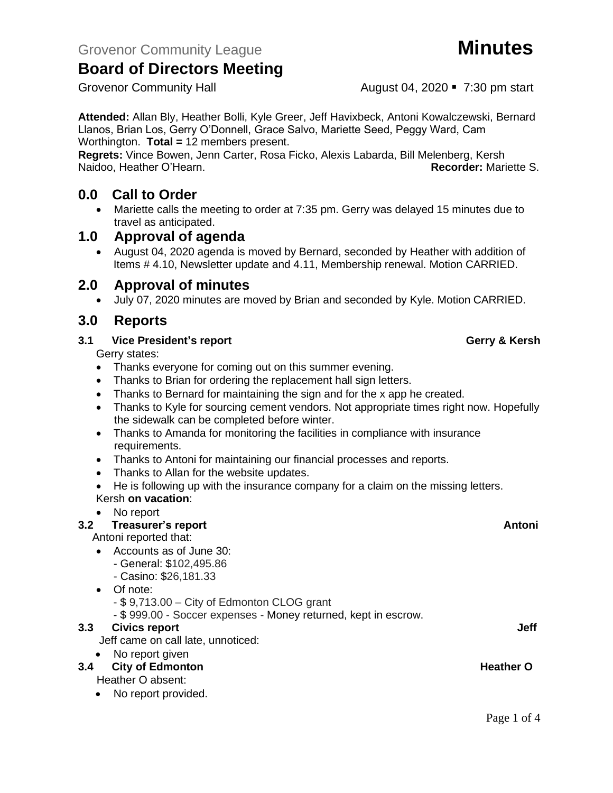# **Board of Directors Meeting**

**Attended:** Allan Bly, Heather Bolli, Kyle Greer, Jeff Havixbeck, Antoni Kowalczewski, Bernard Llanos, Brian Los, Gerry O'Donnell, Grace Salvo, Mariette Seed, Peggy Ward, Cam Worthington. **Total =** 12 members present.

**Regrets:** Vince Bowen, Jenn Carter, Rosa Ficko, Alexis Labarda, Bill Melenberg, Kersh Naidoo, Heather O'Hearn. **Recorder:** Mariette S.

# **0.0 Call to Order**

• Mariette calls the meeting to order at 7:35 pm. Gerry was delayed 15 minutes due to travel as anticipated.

## **1.0 Approval of agenda**

• August 04, 2020 agenda is moved by Bernard, seconded by Heather with addition of Items # 4.10, Newsletter update and 4.11, Membership renewal. Motion CARRIED.

# **2.0 Approval of minutes**

• July 07, 2020 minutes are moved by Brian and seconded by Kyle. Motion CARRIED.

## **3.0 Reports**

## **3.1 Vice President's report Gerry & Kersh**

Gerry states:

- Thanks everyone for coming out on this summer evening.
- Thanks to Brian for ordering the replacement hall sign letters.
- Thanks to Bernard for maintaining the sign and for the x app he created.
- Thanks to Kyle for sourcing cement vendors. Not appropriate times right now. Hopefully the sidewalk can be completed before winter.
- Thanks to Amanda for monitoring the facilities in compliance with insurance requirements.
- Thanks to Antoni for maintaining our financial processes and reports.
- Thanks to Allan for the website updates.
- He is following up with the insurance company for a claim on the missing letters. Kersh **on vacation**:

### • No report

### **3.2 Treasurer's report Antonic Street Antonic Street Antonic Antonic Antonic Antonic Antonic Antonic Antonic Antonic Antonic Antonic Antonic Antonic Antonic Antonic Antonic Antonic Antonic Antonic Antonic Antonic Antonic** Antoni reported that: • Accounts as of June 30: - General: \$102,495.86 - Casino: \$26,181.33 • Of note: - \$ 9,713.00 – City of Edmonton CLOG grant - \$ 999.00 - Soccer expenses - Money returned, kept in escrow. **3.3** Civics report **Jeff** Jeff came on call late, unnoticed: • No report given **3.4 City of Edmonton Heather O** Heather O absent:

• No report provided.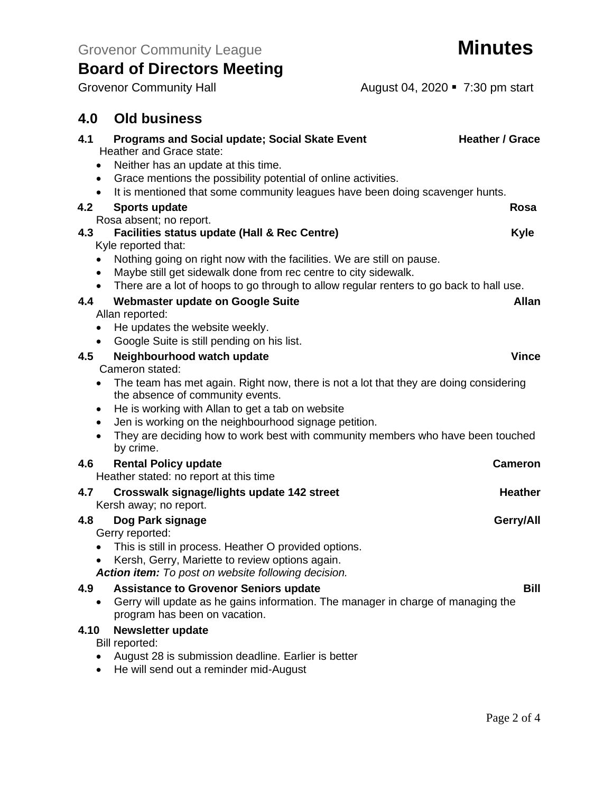# **Board of Directors Meeting**

Grovenor Community Hall **August 04, 2020** • 7:30 pm start

# **4.0 Old business**

| 4.1  | <b>Programs and Social update; Social Skate Event</b>                                                             | <b>Heather / Grace</b> |
|------|-------------------------------------------------------------------------------------------------------------------|------------------------|
|      | Heather and Grace state:                                                                                          |                        |
|      | Neither has an update at this time.                                                                               |                        |
|      | Grace mentions the possibility potential of online activities.<br>$\bullet$                                       |                        |
|      | It is mentioned that some community leagues have been doing scavenger hunts.<br>$\bullet$                         |                        |
| 4.2  | <b>Sports update</b>                                                                                              | Rosa                   |
|      | Rosa absent; no report.                                                                                           |                        |
| 4.3  | <b>Facilities status update (Hall &amp; Rec Centre)</b><br>Kyle reported that:                                    | <b>Kyle</b>            |
|      | Nothing going on right now with the facilities. We are still on pause.                                            |                        |
|      | Maybe still get sidewalk done from rec centre to city sidewalk.<br>$\bullet$                                      |                        |
|      | There are a lot of hoops to go through to allow regular renters to go back to hall use.<br>$\bullet$              |                        |
| 4.4  | <b>Webmaster update on Google Suite</b>                                                                           | <b>Allan</b>           |
|      | Allan reported:                                                                                                   |                        |
|      | He updates the website weekly.<br>٠                                                                               |                        |
|      | Google Suite is still pending on his list.<br>$\bullet$                                                           |                        |
| 4.5  | Neighbourhood watch update                                                                                        | <b>Vince</b>           |
|      | Cameron stated:                                                                                                   |                        |
|      | The team has met again. Right now, there is not a lot that they are doing considering<br>$\bullet$                |                        |
|      | the absence of community events.                                                                                  |                        |
|      | He is working with Allan to get a tab on website<br>$\bullet$                                                     |                        |
|      | Jen is working on the neighbourhood signage petition.<br>$\bullet$                                                |                        |
|      | They are deciding how to work best with community members who have been touched<br>by crime.                      |                        |
| 4.6  | <b>Rental Policy update</b>                                                                                       | <b>Cameron</b>         |
|      | Heather stated: no report at this time                                                                            |                        |
| 4.7  | Crosswalk signage/lights update 142 street                                                                        | <b>Heather</b>         |
|      | Kersh away; no report.                                                                                            |                        |
| 4.8  | Dog Park signage                                                                                                  | Gerry/All              |
|      | Gerry reported:                                                                                                   |                        |
|      | This is still in process. Heather O provided options.                                                             |                        |
|      | Kersh, Gerry, Mariette to review options again.                                                                   |                        |
|      | Action item: To post on website following decision.                                                               |                        |
| 4.9  | <b>Assistance to Grovenor Seniors update</b>                                                                      | <b>Bill</b>            |
|      | Gerry will update as he gains information. The manager in charge of managing the<br>program has been on vacation. |                        |
| 4.10 | <b>Newsletter update</b>                                                                                          |                        |
|      | Bill reported:                                                                                                    |                        |
|      | August 28 is submission deadline. Earlier is better                                                               |                        |
|      | He will send out a reminder mid-August                                                                            |                        |
|      |                                                                                                                   |                        |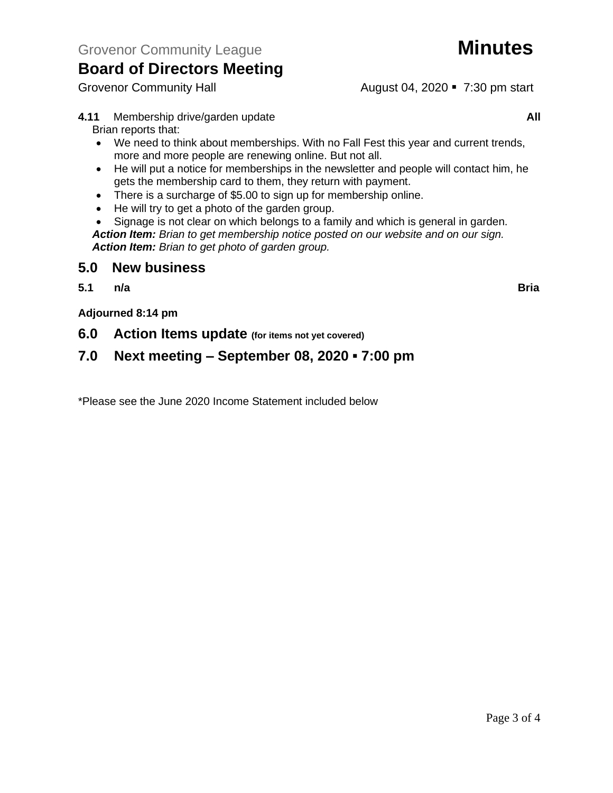# **Board of Directors Meeting**

Grovenor Community Hall **August 04, 2020** • 7:30 pm start

- **4.11** Membership drive/garden update **All** Brian reports that:
	- We need to think about memberships. With no Fall Fest this year and current trends, more and more people are renewing online. But not all.
	- He will put a notice for memberships in the newsletter and people will contact him, he gets the membership card to them, they return with payment.
	- There is a surcharge of \$5.00 to sign up for membership online.
	- He will try to get a photo of the garden group.
	- Signage is not clear on which belongs to a family and which is general in garden. *Action Item: Brian to get membership notice posted on our website and on our sign. Action Item: Brian to get photo of garden group.*

## **5.0 New business**

**5.1 n/a Bria**

**Adjourned 8:14 pm**

**6.0 Action Items update (for items not yet covered)**

# **7.0 Next meeting – September 08, 2020 ▪ 7:00 pm**

\*Please see the June 2020 Income Statement included below